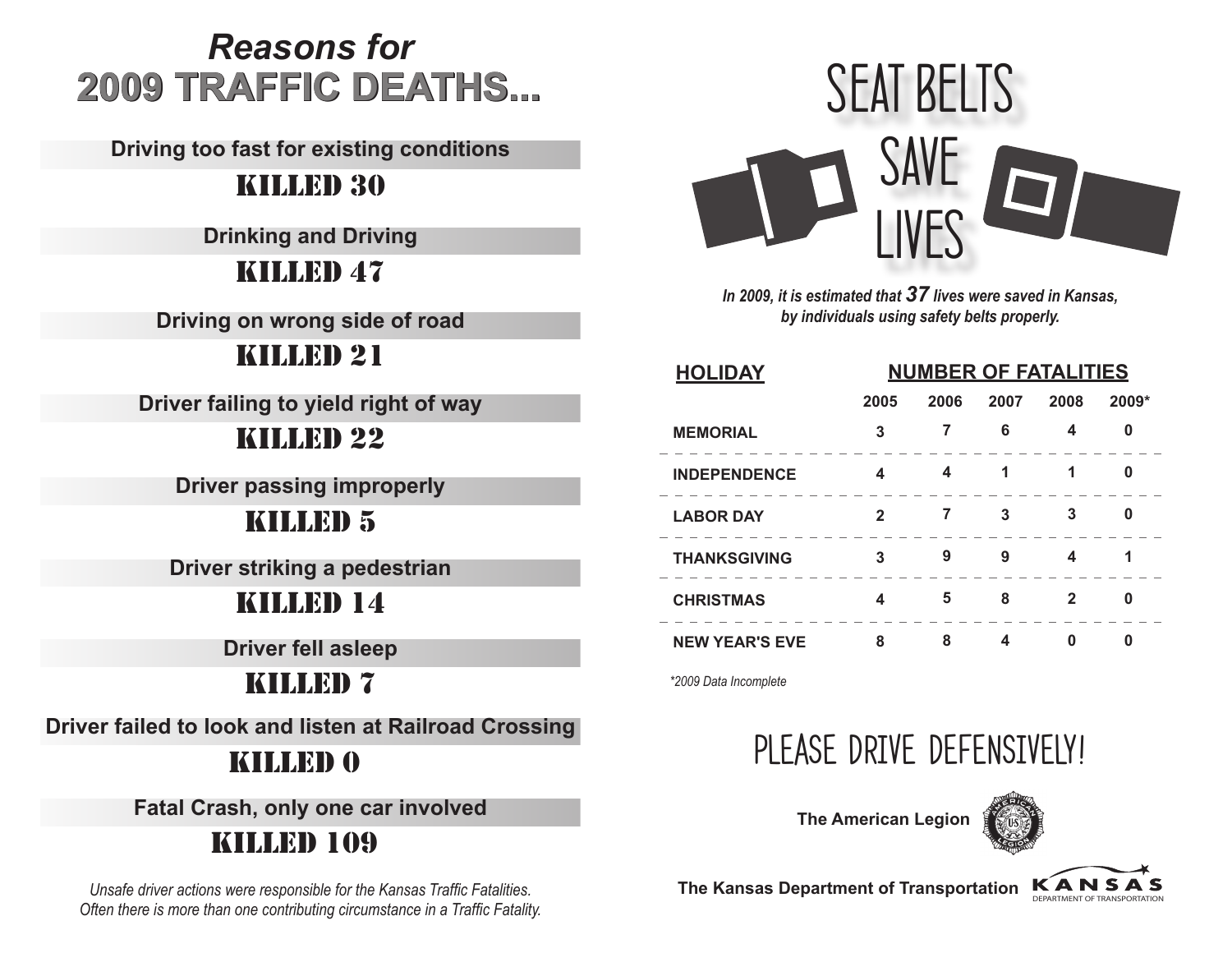## *Reasons for* **2009 TRAFFIC DEATHS...**

**Driving too fast for existing conditions**

#### KILLED 30

**Drinking and Driving**

#### KILLED 47

**Driving on wrong side of road**

#### KILLED 21

**Driver failing to yield right of way**

#### KILLED 22

**Driver passing improperly**

#### KILLED 5

**Driver striking a pedestrian**

#### KILLED 14

**Driver fell asleep**

#### KILLED 7

**Driver failed to look and listen at Railroad Crossing**

#### KILLED 0

**Fatal Crash, only one car involved** 

### KILLED 109

*Unsafe driver actions were responsible for the Kansas Traffic Fatalities. Often there is more than one contributing circumstance in a Traffic Fatality.*



*In 2009, it is estimated that 37 lives were saved in Kansas, by individuals using safety belts properly.*

| <b>HOLIDAY</b>        | <b>NUMBER OF FATALITIES</b> |      |      |      |       |
|-----------------------|-----------------------------|------|------|------|-------|
|                       | 2005                        | 2006 | 2007 | 2008 | 2009* |
| <b>MEMORIAL</b>       | 3                           | 7    | 6    | 4    | 0     |
| <b>INDEPENDENCE</b>   | 4                           | 4    | 1    |      | 0     |
| <b>LABOR DAY</b>      | 2                           |      | 3    | 3    | 0     |
| <b>THANKSGIVING</b>   | 3                           | 9    | 9    | 4    | 1     |
| <b>CHRISTMAS</b>      | 4                           | 5    | 8    | 2    | 0     |
| <b>NEW YEAR'S EVE</b> | 8                           | 8    | 4    |      | U     |

*\*2009 Data Incomplete*

## PLEASE DRIVE DEFENSIVELY!

**The American Legion** 



**The Kansas Department of Transportation KANSAS**